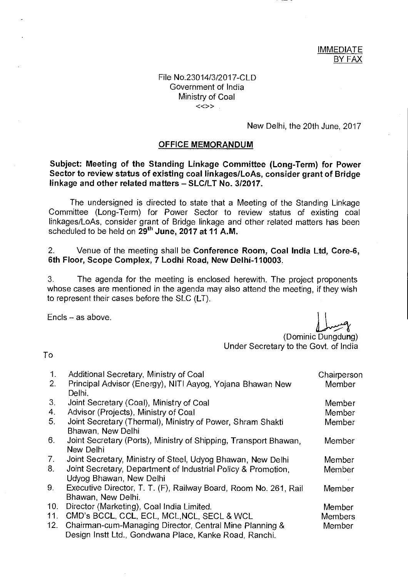## File No.23014/3/2017-CLD Government of India Ministry of Coal  $\langle \langle \rangle \rangle$

New Delhi, the 20th June, 2017

#### **OFFICE MEMORANDUM**

## **Subject: Meeting of the Standing Linkage Committee (Long-Term) for Power Sector to review status of existing coal linkages/LoAs, consider grant of Bridge linkage and other related matters — SLC/LT No. 3/2017.**

The undersigned is directed to state that a Meeting of the Standing Linkage Committee (Long-Term) for Power Sector to review status of existing coal linkages/LoAs, consider grant of Bridge linkage and other related matters has been scheduled to be held on 29<sup>th</sup> June, 2017 at 11 A.M.

### 2. Venue of the meeting shall be **Conference Room, Coal India Ltd, Core-6, 6th Floor, Scope Complex, 7 Lodhi Road, New Delhi-110003.**

3. The agenda for the meeting is enclosed herewith. The project proponents whose cases are mentioned in the agenda may also attend the meeting, if they wish to represent their cases before the SLC (LT).

Ends — as above.

(Dominic Dungdung) Under Secretary to the Govt. of India

To

| $\mathbf{1}$ . | Additional Secretary, Ministry of Coal                           | Chairperson    |
|----------------|------------------------------------------------------------------|----------------|
| 2.             | Principal Advisor (Energy), NITI Aayog, Yojana Bhawan New        | Member         |
|                | Delhi.                                                           |                |
| 3.             | Joint Secretary (Coal), Ministry of Coal                         | Member         |
| 4.             | Advisor (Projects), Ministry of Coal                             | Member         |
| 5 <sub>1</sub> | Joint Secretary (Thermal), Ministry of Power, Shram Shakti       | Member         |
|                | Bhawan, New Delhi                                                |                |
| 6.             | Joint Secretary (Ports), Ministry of Shipping, Transport Bhawan, | Member         |
|                | New Delhi                                                        |                |
| 7 <sub>1</sub> | Joint Secretary, Ministry of Steel, Udyog Bhawan, New Delhi      | Member         |
| 8.             | Joint Secretary, Department of Industrial Policy & Promotion,    | Member         |
|                | Udyog Bhawan, New Delhi                                          |                |
| 9.             | Executive Director, T. T. (F), Railway Board, Room No. 261, Rail | Member         |
|                | Bhawan, New Delhi.                                               |                |
| 10.            | Director (Marketing), Coal India Limited.                        | Member         |
| 11.            | CMD's BCCL, CCL, ECL, MCL, NCL, SECL & WCL                       | <b>Members</b> |
| 12.            | Chairman-cum-Managing Director, Central Mine Planning &          | Member         |
|                | Design Instt Ltd., Gondwana Place, Kanke Road, Ranchi.           |                |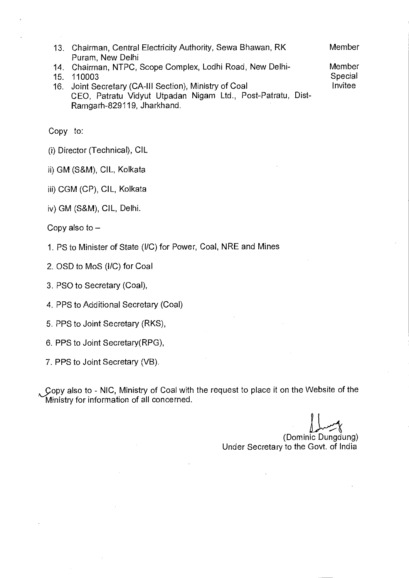| 13. Chairman, Central Electricity Authority, Sewa Bhawan, RK                                                                                                                              |         |
|-------------------------------------------------------------------------------------------------------------------------------------------------------------------------------------------|---------|
| Puram, New Delhi                                                                                                                                                                          |         |
| 14. Chairman, NTPC, Scope Complex, Lodhi Road, New Delhi-                                                                                                                                 | Member  |
| 15. 110003                                                                                                                                                                                | Special |
| 16. Joint Secretary (CA-III Section), Ministry of Coal                                                                                                                                    | Invitee |
| $\overline{A}$ and $\overline{B}$ and $\overline{B}$ and $\overline{B}$ and $\overline{B}$ and $\overline{B}$ and $\overline{B}$ and $\overline{B}$ and $\overline{B}$ and $\overline{B}$ |         |

CEO, Patratu Vidyut Utpadan Nigam Ltd., Post-Patratu, Dist-Ramgarh-829119, Jharkhand.

Copy to:

- (i) Director (Technical), CIL
- ii) GM (S&M), CIL, Kolkata
- iii) CGM (CP), CIL, Kolkata
- iv) GM (S&M), CIL, Delhi.

Copy also to —

- 1. PS to Minister of State (I/C) for Power, Coal, NRE and Mines
- 2. OSD to MoS (I/C) for Coal
- 3. PSO to Secretary (Coal),
- 4. PPS to Additional Secretary (Coal)
- 5. PPS to Joint Secretary (RKS),
- 6. PPS to Joint Secretary(RPG),
- 7. PPS to Joint Secretary (VB).

Copy also to - NIC, Ministry of Coal with the request to place it on the Website of the Ministry for information of all concerned.

(Dominic Dungdung) Under Secretary to the Govt. of India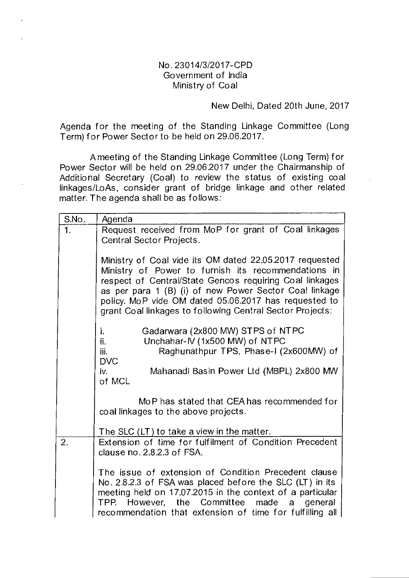# No. 23014/3/2017-CPD Government of India Ministry of Coal

## New Delhi, Dated 20th June, 2017

Agenda for the meeting of the Standing Linkage Committee (Long Term) for Power Sector to be held on 29.06.2017.

A meeting of the Standing Linkage Committee (Long Term) for Power Sector will be held on 29.062017 under the Chairmanship of Additional Secretary (Coal) to review the status of existing coal linkages/LoAs, consider grant of bridge linkage and other related matter. The agenda shall be as follows:

| S.No.          | Agenda                                                                                                                                                                                                                                                                                                                                                    |
|----------------|-----------------------------------------------------------------------------------------------------------------------------------------------------------------------------------------------------------------------------------------------------------------------------------------------------------------------------------------------------------|
| 1 <sub>1</sub> | Request received from MoP for grant of Coal linkages<br>Central Sector Projects.                                                                                                                                                                                                                                                                          |
|                | Ministry of Coal vide its OM dated 22.05.2017 requested<br>Ministry of Power to furnish its recommendations in<br>respect of Central/State Gencos requiring Coal linkages<br>as per para 1 (B) (i) of new Power Sector Coal linkage<br>policy. MoP vide OM dated 05.06.2017 has requested to<br>grant Coal linkages to following Central Sector Projects: |
|                | Gadarwara (2x800 MW) STPS of NTPC<br>i.<br>Unchahar-IV (1x500 MW) of NTPC<br>ii.<br>iii.<br>Raghunathpur TPS, Phase-I (2x600MW) of<br><b>DVC</b><br>Mahanadi Basin Power Ltd (MBPL) 2x800 MW<br>iv.                                                                                                                                                       |
|                | of MCL<br>MoP has stated that CEA has recommended for                                                                                                                                                                                                                                                                                                     |
|                | coal linkages to the above projects.                                                                                                                                                                                                                                                                                                                      |
|                | The SLC (LT) to take a view in the matter.                                                                                                                                                                                                                                                                                                                |
| 2.             | Extension of time for fulfilment of Condition Precedent<br>clause $no. 2.8.2.3 of FSA.$                                                                                                                                                                                                                                                                   |
|                | The issue of extension of Condition Precedent clause<br>No. 2.8.2.3 of FSA was placed before the SLC (LT) in its<br>meeting held on 17.07.2015 in the context of a particular<br>TPP. However, the Committee made a general<br>recommendation that extension of time for fulfilling all                                                                   |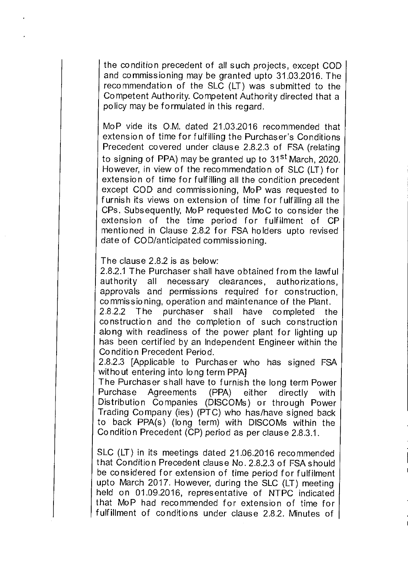the condition precedent of all such projects, except COD and commissioning may be granted upto 31.03.2016. The recommendation of the SLC (LT) was submitted to the Competent Authority. Competent Authority directed that a policy may be formulated in this regard.

MoP vide its O.M. dated 21.03.2016 recommended that extension of time for fulfilling the Purchaser's Conditions Precedent covered under clause 2.8.2.3 of FSA (relating to signing of PPA) may be granted up to 31<sup>st</sup> March, 2020. However, in view of the recommendation of SLC (LT) for extension of time for fulfilling all the condition precedent except COD and commissioning, MoP was requested to furnish its views on extension of time for fulfilling all the CPs. Subsequently, MoP requested MoC to consider the extension of the time period for fulfilment of CP mentioned in Clause 2.82 for FSA holders upto revised date of COD/anticipated commissioning.

The clause 2.82 is as below:

2.82.1 The Purchaser shall have obtained from the lawful authority all necessary clearances, authorizations, approvals and permissions required for construction, commissioning, operation and maintenance of the Plant.

2.8.2.2 The purchaser shall have completed the construction and the completion of such construction along with readiness of the power plant for lighting up has been certified by an Independent Engineer within the Condition Precedent Period.

2.8.2.3 [Applicable to Purchaser who has signed FSA without entering into long term PPA]

The Purchaser shall have to furnish the long term Power Purchase Agreements (PPA) either directly with Distribution Companies (DISCOMs) or through Power Trading Company (ies) (PTC) who has/have signed back to back PPA(s) (long term) with DISCOMs within the Condition Precedent (CP) period as per clause 2.8.3.1.

SLC (LT) in its meetings dated 21.06.2016 recommended that Condition Precedent clause No. 2.8.23 of FSA should be considered for extension of time period for fulfilment upto March 2017. However, during the SLC (LT) meeting held on 01.092016, representative of NTPC indicated that MoP had recommended for extension of time for fulfillment of conditions under clause 2.8.2. Minutes of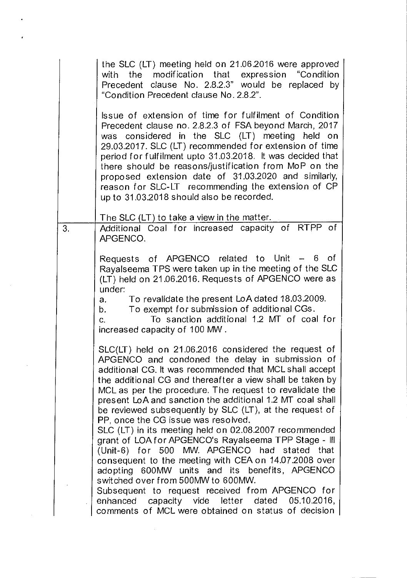|    | the SLC (LT) meeting held on 21.06.2016 were approved<br>with the modification that expression "Condition<br>Precedent clause No. 2.8.2.3" would be replaced by<br>"Condition Precedent clause No. 2.8.2".                                                                                                                                                                                                                                                                                                                                                                                                                                                                                                                                                                                                                                                                                                                                 |
|----|--------------------------------------------------------------------------------------------------------------------------------------------------------------------------------------------------------------------------------------------------------------------------------------------------------------------------------------------------------------------------------------------------------------------------------------------------------------------------------------------------------------------------------------------------------------------------------------------------------------------------------------------------------------------------------------------------------------------------------------------------------------------------------------------------------------------------------------------------------------------------------------------------------------------------------------------|
|    | Issue of extension of time for fulfilment of Condition<br>Precedent clause no. 2.8.2.3 of FSA beyond March, 2017<br>was considered in the SLC (LT) meeting held on<br>29.03.2017. SLC (LT) recommended for extension of time<br>period for fulfilment upto 31.03.2018. It was decided that<br>there should be reasons/justification from MoP on the<br>proposed extension date of 31.03.2020 and similarly,<br>reason for SLC-LT recommending the extension of CP<br>up to 31.03.2018 should also be recorded.                                                                                                                                                                                                                                                                                                                                                                                                                             |
| 3. | The SLC (LT) to take a view in the matter.<br>Additional Coal for increased capacity of RTPP of<br>APGENCO.                                                                                                                                                                                                                                                                                                                                                                                                                                                                                                                                                                                                                                                                                                                                                                                                                                |
|    | of<br>Requests of APGENCO related to Unit - 6<br>Rayalseema TPS were taken up in the meeting of the SLC<br>(LT) held on 21.06.2016. Requests of APGENCO were as<br>under:<br>To revalidate the present LoA dated 18.03.2009.<br>a.<br>To exempt for submission of additional CGs.<br>b. L<br>To sanction additional 1.2 MT of coal for<br>C.<br>increased capacity of 100 MW.                                                                                                                                                                                                                                                                                                                                                                                                                                                                                                                                                              |
|    | SLC(LT) held on 21.06.2016 considered the request of<br>APGENCO and condoned the delay in submission of<br>additional CG. It was recommended that MCL shall accept<br>the additional CG and thereafter a view shall be taken by<br>MCL as per the procedure. The request to revalidate the<br>present LoA and sanction the additional 1.2 MT coal shall<br>be reviewed subsequently by SLC (LT), at the request of<br>PP, once the CG issue was resolved.<br>SLC (LT) in its meeting held on 02.08.2007 recommended<br>grant of LOA for APGENCO's Rayalseema TPP Stage - III<br>(Unit-6) for 500 MW. APGENCO had stated that<br>consequent to the meeting with CEA on 14.07.2008 over<br>adopting 600MW units and its benefits, APGENCO<br>switched over from 500MW to 600MW.<br>Subsequent to request received from APGENCO for<br>enhanced capacity vide letter dated 05.10.2016,<br>comments of MCL were obtained on status of decision |

 $\mathbf{E}_{\mathrm{max}}$